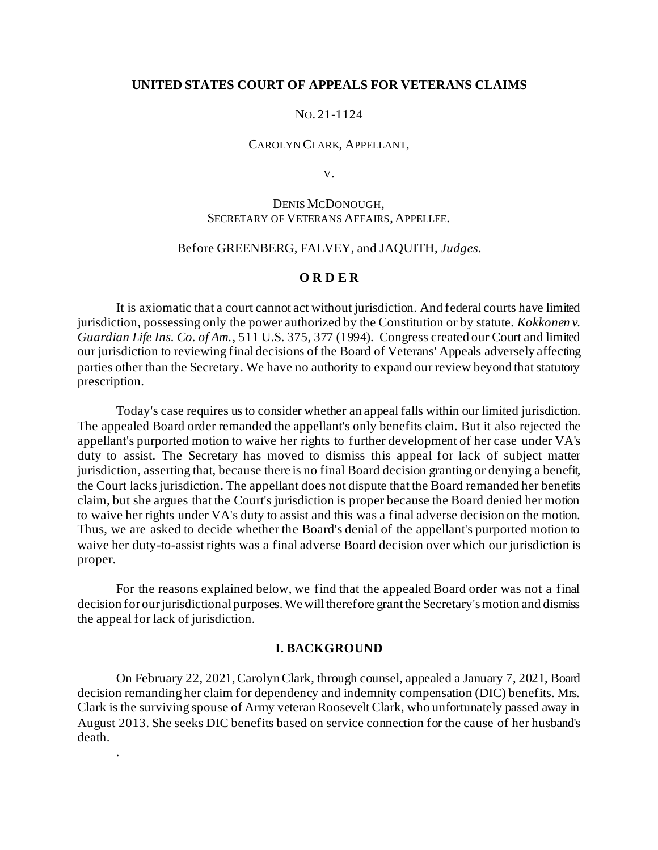## **UNITED STATES COURT OF APPEALS FOR VETERANS CLAIMS**

## NO. 21-1124

#### CAROLYN CLARK, APPELLANT,

V.

# DENIS MCDONOUGH, SECRETARY OF VETERANS AFFAIRS, APPELLEE.

#### Before GREENBERG, FALVEY, and JAQUITH, *Judges.*

### **O R D E R**

It is axiomatic that a court cannot act without jurisdiction. And federal courts have limited jurisdiction, possessing only the power authorized by the Constitution or by statute. *Kokkonen v. Guardian Life Ins. Co. of Am.*, 511 U.S. 375, 377 (1994). Congress created our Court and limited our jurisdiction to reviewing final decisions of the Board of Veterans' Appeals adversely affecting parties other than the Secretary. We have no authority to expand our review beyond that statutory prescription.

Today's case requires us to consider whether an appeal falls within our limited jurisdiction. The appealed Board order remanded the appellant's only benefits claim. But it also rejected the appellant's purported motion to waive her rights to further development of her case under VA's duty to assist. The Secretary has moved to dismiss this appeal for lack of subject matter jurisdiction, asserting that, because there is no final Board decision granting or denying a benefit, the Court lacks jurisdiction. The appellant does not dispute that the Board remanded her benefits claim, but she argues that the Court's jurisdiction is proper because the Board denied her motion to waive her rights under VA's duty to assist and this was a final adverse decision on the motion. Thus, we are asked to decide whether the Board's denial of the appellant's purported motion to waive her duty-to-assist rights was a final adverse Board decision over which our jurisdiction is proper.

For the reasons explained below, we find that the appealed Board order was not a final decision for our jurisdictionalpurposes. We will therefore grant the Secretary's motion and dismiss the appeal for lack of jurisdiction.

#### **I. BACKGROUND**

On February 22, 2021, Carolyn Clark, through counsel, appealed a January 7, 2021, Board decision remanding her claim for dependency and indemnity compensation (DIC) benefits. Mrs. Clark is the surviving spouse of Army veteran Roosevelt Clark, who unfortunately passed away in August 2013. She seeks DIC benefits based on service connection for the cause of her husband's death.

.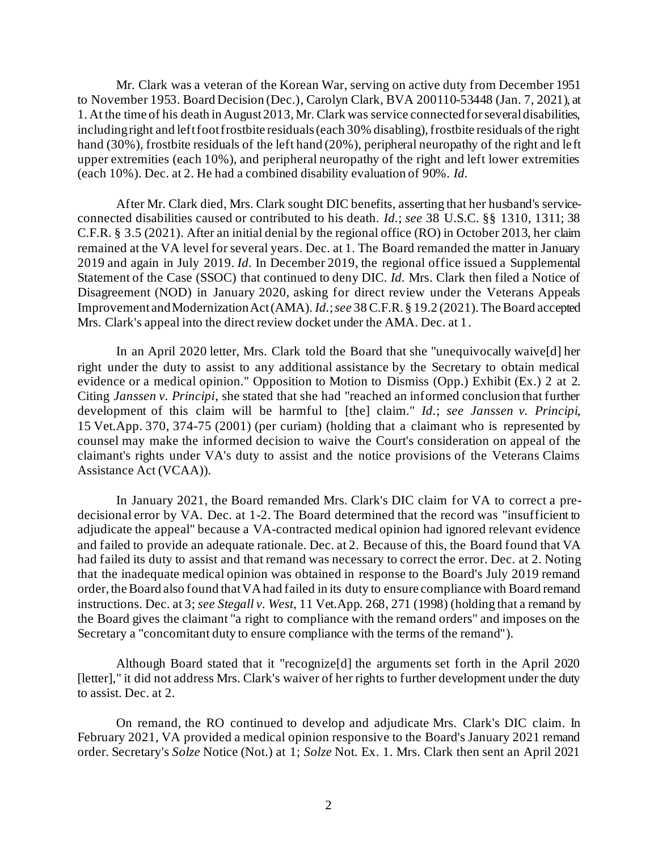Mr. Clark was a veteran of the Korean War, serving on active duty from December 1951 to November 1953. Board Decision (Dec.), Carolyn Clark, BVA 200110-53448 (Jan. 7, 2021), at 1. At the time of his death in August 2013, Mr. Clark was service connected for several disabilities, including right and left foot frostbite residuals (each 30% disabling), frostbite residuals of the right hand (30%), frostbite residuals of the left hand (20%), peripheral neuropathy of the right and le ft upper extremities (each 10%), and peripheral neuropathy of the right and left lower extremities (each 10%). Dec. at 2. He had a combined disability evaluation of 90%. *Id.*

After Mr. Clark died, Mrs. Clark sought DIC benefits, asserting that her husband's serviceconnected disabilities caused or contributed to his death. *Id.*; *see* 38 U.S.C. §§ 1310, 1311; 38 C.F.R. § 3.5 (2021). After an initial denial by the regional office (RO) in October 2013, her claim remained at the VA level for several years. Dec. at 1. The Board remanded the matter in January 2019 and again in July 2019. *Id.* In December 2019, the regional office issued a Supplemental Statement of the Case (SSOC) that continued to deny DIC. *Id.* Mrs. Clark then filed a Notice of Disagreement (NOD) in January 2020, asking for direct review under the Veterans Appeals Improvement and Modernization Act (AMA). *Id.*; *see* 38 C.F.R. § 19.2 (2021). The Board accepted Mrs. Clark's appeal into the direct review docket under the AMA. Dec. at 1.

In an April 2020 letter, Mrs. Clark told the Board that she "unequivocally waive[d] her right under the duty to assist to any additional assistance by the Secretary to obtain medical evidence or a medical opinion." Opposition to Motion to Dismiss (Opp.) Exhibit (Ex.) 2 at 2. Citing *Janssen v. Principi*, she stated that she had "reached an informed conclusion that further development of this claim will be harmful to [the] claim." *Id.*; *see Janssen v. Principi*, 15 Vet.App. 370, 374-75 (2001) (per curiam) (holding that a claimant who is represented by counsel may make the informed decision to waive the Court's consideration on appeal of the claimant's rights under VA's duty to assist and the notice provisions of the Veterans Claims Assistance Act (VCAA)).

In January 2021, the Board remanded Mrs. Clark's DIC claim for VA to correct a predecisional error by VA. Dec. at 1-2. The Board determined that the record was "insufficient to adjudicate the appeal" because a VA-contracted medical opinion had ignored relevant evidence and failed to provide an adequate rationale. Dec. at 2. Because of this, the Board found that VA had failed its duty to assist and that remand was necessary to correct the error. Dec. at 2. Noting that the inadequate medical opinion was obtained in response to the Board's July 2019 remand order, the Board also found that VA had failed in its duty to ensure compliance with Board remand instructions. Dec. at 3; *see Stegall v. West*, 11 Vet.App. 268, 271 (1998) (holding that a remand by the Board gives the claimant "a right to compliance with the remand orders" and imposes on the Secretary a "concomitant duty to ensure compliance with the terms of the remand").

Although Board stated that it "recognize[d] the arguments set forth in the April 2020 [letter]," it did not address Mrs. Clark's waiver of her rights to further development under the duty to assist. Dec. at 2.

On remand, the RO continued to develop and adjudicate Mrs. Clark's DIC claim. In February 2021, VA provided a medical opinion responsive to the Board's January 2021 remand order. Secretary's *Solze* Notice (Not.) at 1; *Solze* Not. Ex. 1. Mrs. Clark then sent an April 2021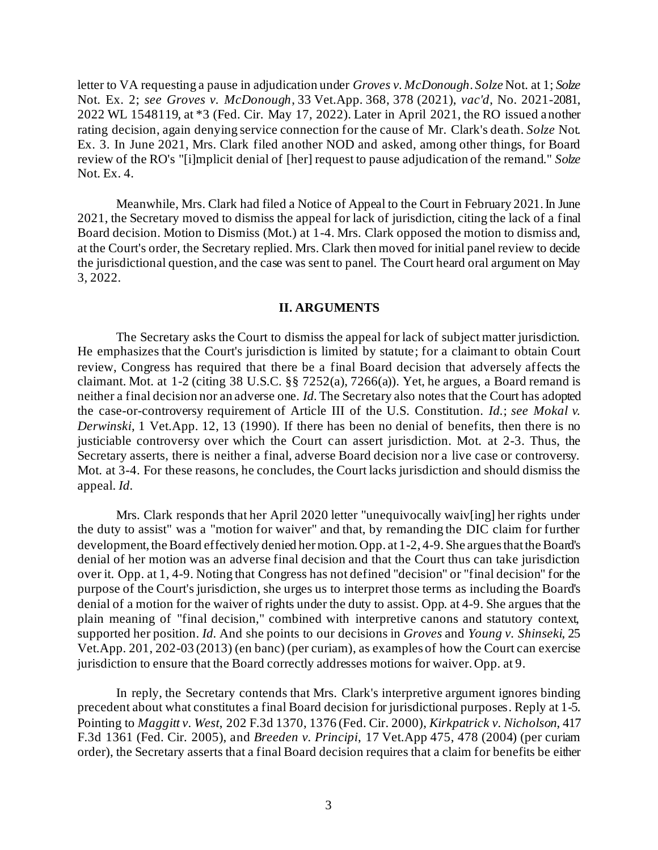letter to VA requesting a pause in adjudication under *Groves v. McDonough*. *Solze* Not. at 1; *Solze*  Not. Ex. 2; *see Groves v. McDonough*, 33 Vet.App. 368, 378 (2021), *vac'd*, No. 2021-2081, 2022 WL 1548119, at \*3 (Fed. Cir. May 17, 2022). Later in April 2021, the RO issued another rating decision, again denying service connection for the cause of Mr. Clark's death. *Solze* Not. Ex. 3. In June 2021, Mrs. Clark filed another NOD and asked, among other things, for Board review of the RO's "[i]mplicit denial of [her] request to pause adjudication of the remand." *Solze* Not. Ex. 4.

Meanwhile, Mrs. Clark had filed a Notice of Appeal to the Court in February 2021. In June 2021, the Secretary moved to dismiss the appeal for lack of jurisdiction, citing the lack of a final Board decision. Motion to Dismiss (Mot.) at 1-4. Mrs. Clark opposed the motion to dismiss and, at the Court's order, the Secretary replied. Mrs. Clark then moved for initial panel review to decide the jurisdictional question, and the case was sent to panel. The Court heard oral argument on May 3, 2022.

## **II. ARGUMENTS**

The Secretary asks the Court to dismiss the appeal for lack of subject matter jurisdiction. He emphasizes that the Court's jurisdiction is limited by statute; for a claimant to obtain Court review, Congress has required that there be a final Board decision that adversely affects the claimant. Mot. at  $1-2$  (citing 38 U.S.C. §§ 7252(a), 7266(a)). Yet, he argues, a Board remand is neither a final decision nor an adverse one. *Id.*The Secretary also notes that the Court has adopted the case-or-controversy requirement of Article III of the U.S. Constitution. *Id.*; *see Mokal v. Derwinski*, 1 Vet.App. 12, 13 (1990). If there has been no denial of benefits, then there is no justiciable controversy over which the Court can assert jurisdiction. Mot. at 2-3. Thus, the Secretary asserts, there is neither a final, adverse Board decision nor a live case or controversy. Mot. at 3-4. For these reasons, he concludes, the Court lacks jurisdiction and should dismiss the appeal. *Id.*

Mrs. Clark responds that her April 2020 letter "unequivocally waiv[ing] her rights under the duty to assist" was a "motion for waiver" and that, by remanding the DIC claim for further development, the Board effectively denied her motion. Opp. at 1-2, 4-9. She argues that the Board's denial of her motion was an adverse final decision and that the Court thus can take jurisdiction over it. Opp. at 1, 4-9. Noting that Congress has not defined "decision" or "final decision" for the purpose of the Court's jurisdiction, she urges us to interpret those terms as including the Board's denial of a motion for the waiver of rights under the duty to assist. Opp. at 4-9. She argues that the plain meaning of "final decision," combined with interpretive canons and statutory context, supported her position. *Id.* And she points to our decisions in *Groves* and *Young v. Shinseki*, 25 Vet.App. 201, 202-03 (2013) (en banc) (per curiam), as examples of how the Court can exercise jurisdiction to ensure that the Board correctly addresses motions for waiver. Opp. at 9.

In reply, the Secretary contends that Mrs. Clark's interpretive argument ignores binding precedent about what constitutes a final Board decision for jurisdictional purposes. Reply at 1-5. Pointing to *Maggitt v. West*, 202 F.3d 1370, 1376 (Fed. Cir. 2000), *Kirkpatrick v. Nicholson*, 417 F.3d 1361 (Fed. Cir. 2005), and *Breeden v. Principi*, 17 Vet.App 475, 478 (2004) (per curiam order), the Secretary asserts that a final Board decision requires that a claim for benefits be either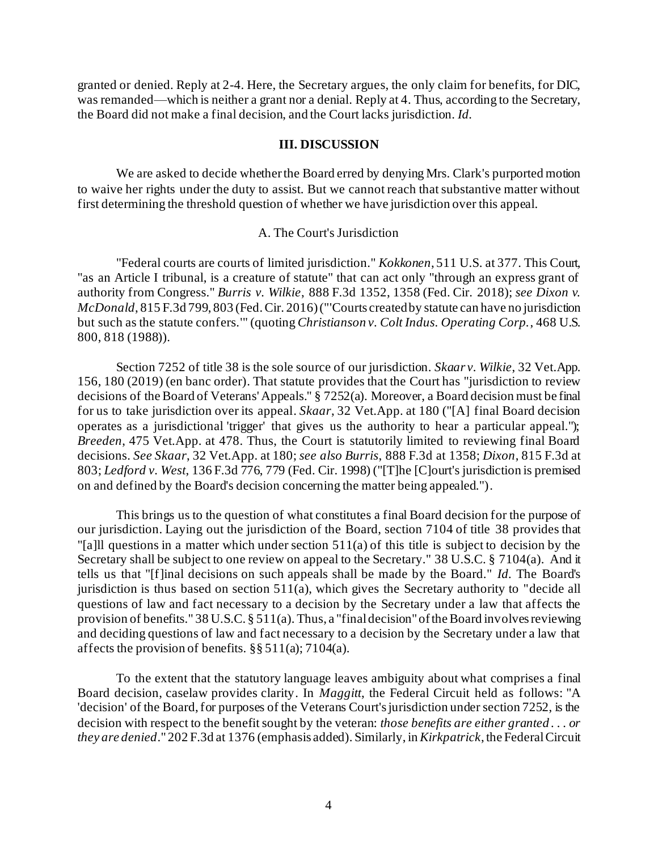granted or denied. Reply at 2-4. Here, the Secretary argues, the only claim for benefits, for DIC, was remanded—which is neither a grant nor a denial. Reply at 4. Thus, according to the Secretary, the Board did not make a final decision, and the Court lacks jurisdiction. *Id.*

## **III. DISCUSSION**

We are asked to decide whether the Board erred by denying Mrs. Clark's purported motion to waive her rights under the duty to assist. But we cannot reach that substantive matter without first determining the threshold question of whether we have jurisdiction over this appeal.

## A. The Court's Jurisdiction

"Federal courts are courts of limited jurisdiction." *Kokkonen*, 511 U.S. at 377. This Court, "as an Article I tribunal, is a creature of statute" that can act only "through an express grant of authority from Congress." *Burris v. Wilkie*, 888 F.3d 1352, 1358 (Fed. Cir. 2018); *see Dixon v. McDonald*, 815 F.3d 799, 803 (Fed. Cir. 2016) ("'Courts created by statute can have no jurisdiction but such as the statute confers.'" (quoting *Christianson v. Colt Indus. Operating Corp.*, 468 U.S. 800, 818 (1988)).

Section 7252 of title 38 is the sole source of our jurisdiction. *Skaar v. Wilkie*, 32 Vet.App. 156, 180 (2019) (en banc order). That statute provides that the Court has "jurisdiction to review decisions of the Board of Veterans' Appeals." § 7252(a). Moreover, a Board decision must be final for us to take jurisdiction over its appeal. *Skaar*, 32 Vet.App. at 180 ("[A] final Board decision operates as a jurisdictional 'trigger' that gives us the authority to hear a particular appeal."); *Breeden*, 475 Vet.App. at 478. Thus, the Court is statutorily limited to reviewing final Board decisions. *See Skaar*, 32 Vet.App. at 180; *see also Burris*, 888 F.3d at 1358; *Dixon*, 815 F.3d at 803; *Ledford v. West*, 136 F.3d 776, 779 (Fed. Cir. 1998) ("[T]he [C]ourt's jurisdiction is premised on and defined by the Board's decision concerning the matter being appealed.").

This brings us to the question of what constitutes a final Board decision for the purpose of our jurisdiction. Laying out the jurisdiction of the Board, section 7104 of title 38 provides that "[a]ll questions in a matter which under section 511(a) of this title is subject to decision by the Secretary shall be subject to one review on appeal to the Secretary." 38 U.S.C. § 7104(a). And it tells us that "[f]inal decisions on such appeals shall be made by the Board." *Id.* The Board's jurisdiction is thus based on section 511(a), which gives the Secretary authority to "decide all questions of law and fact necessary to a decision by the Secretary under a law that affects the provision of benefits." 38 U.S.C. § 511(a). Thus, a "final decision" of the Board involves reviewing and deciding questions of law and fact necessary to a decision by the Secretary under a law that affects the provision of benefits. §§ 511(a); 7104(a).

To the extent that the statutory language leaves ambiguity about what comprises a final Board decision, caselaw provides clarity. In *Maggitt*, the Federal Circuit held as follows: "A 'decision' of the Board, for purposes of the Veterans Court's jurisdiction under section 7252, is the decision with respect to the benefit sought by the veteran: *those benefits are either granted . . . or they are denied*." 202 F.3d at 1376 (emphasis added). Similarly, in *Kirkpatrick*, the Federal Circuit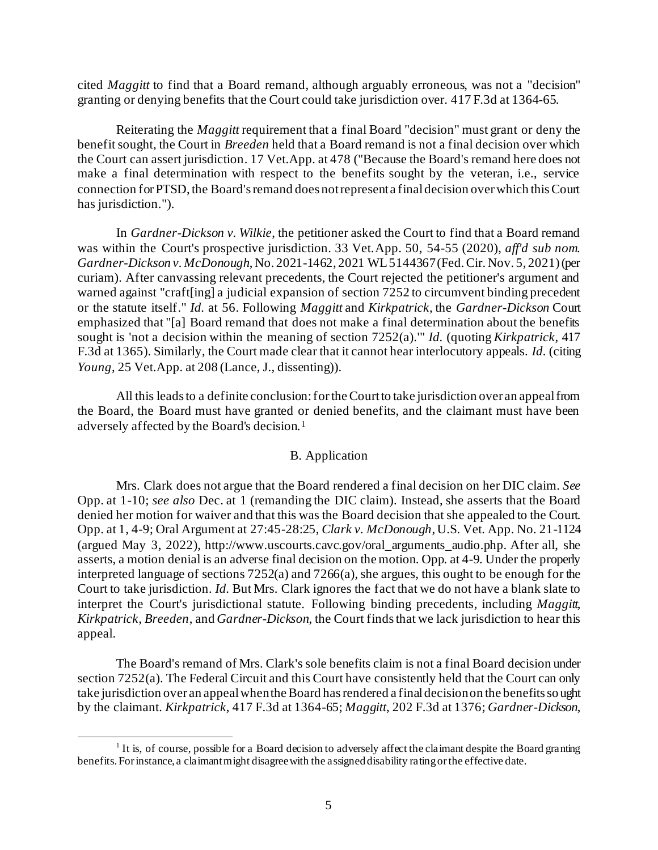cited *Maggitt* to find that a Board remand, although arguably erroneous, was not a "decision" granting or denying benefits that the Court could take jurisdiction over. 417 F.3d at 1364-65.

Reiterating the *Maggitt* requirement that a final Board "decision" must grant or deny the benefit sought, the Court in *Breeden* held that a Board remand is not a final decision over which the Court can assert jurisdiction. 17 Vet.App. at 478 ("Because the Board's remand here does not make a final determination with respect to the benefits sought by the veteran, i.e., service connection for PTSD, the Board's remand does not represent a final decision over which this Court has jurisdiction.").

In *Gardner-Dickson v. Wilkie*, the petitioner asked the Court to find that a Board remand was within the Court's prospective jurisdiction. 33 Vet.App. 50, 54-55 (2020), *aff'd sub nom. Gardner-Dickson v. McDonough*, No. 2021-1462, 2021 WL 5144367 (Fed. Cir. Nov. 5, 2021) (per curiam). After canvassing relevant precedents, the Court rejected the petitioner's argument and warned against "craft[ing] a judicial expansion of section 7252 to circumvent binding precedent or the statute itself." *Id.* at 56. Following *Maggitt* and *Kirkpatrick*, the *Gardner-Dickson* Court emphasized that "[a] Board remand that does not make a final determination about the benefits sought is 'not a decision within the meaning of section 7252(a).'" *Id.* (quoting *Kirkpatrick*, 417 F.3d at 1365). Similarly, the Court made clear that it cannot hear interlocutory appeals. *Id.* (citing *Young*, 25 Vet.App. at 208 (Lance, J., dissenting)).

All this leads to a definite conclusion: for the Court to take jurisdiction over an appeal from the Board, the Board must have granted or denied benefits, and the claimant must have been adversely affected by the Board's decision.<sup>1</sup>

# B. Application

Mrs. Clark does not argue that the Board rendered a final decision on her DIC claim. *See* Opp. at 1-10; *see also* Dec. at 1 (remanding the DIC claim). Instead, she asserts that the Board denied her motion for waiver and that this was the Board decision that she appealed to the Court. Opp. at 1, 4-9; Oral Argument at 27:45-28:25, *Clark v. McDonough*, U.S. Vet. App. No. 21-1124 (argued May 3, 2022), http://www.uscourts.cavc.gov/oral\_arguments\_audio.php. After all, she asserts, a motion denial is an adverse final decision on the motion. Opp. at 4-9. Under the properly interpreted language of sections  $7252(a)$  and  $7266(a)$ , she argues, this ought to be enough for the Court to take jurisdiction. *Id.* But Mrs. Clark ignores the fact that we do not have a blank slate to interpret the Court's jurisdictional statute. Following binding precedents, including *Maggitt*, *Kirkpatrick*, *Breeden*, and *Gardner-Dickson*, the Court findsthat we lack jurisdiction to hear this appeal.

The Board's remand of Mrs. Clark's sole benefits claim is not a final Board decision under section 7252(a). The Federal Circuit and this Court have consistently held that the Court can only take jurisdiction over an appeal when the Board has rendered a final decision on the benefits so ught by the claimant. *Kirkpatrick*, 417 F.3d at 1364-65; *Maggitt*, 202 F.3d at 1376; *Gardner-Dickson*,

<sup>&</sup>lt;sup>1</sup> It is, of course, possible for a Board decision to adversely affect the claimant despite the Board granting benefits. For instance, a claimant might disagree with the assigned disability rating or the effective date.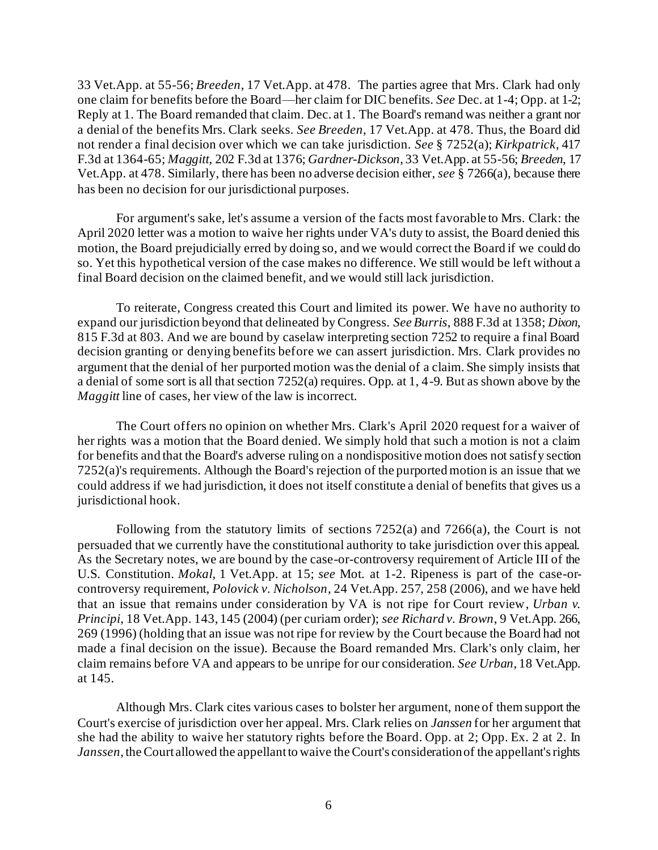33 Vet.App. at 55-56; *Breeden*, 17 Vet.App. at 478. The parties agree that Mrs. Clark had only one claim for benefits before the Board—her claim for DIC benefits. *See* Dec. at 1-4; Opp. at 1-2; Reply at 1. The Board remanded that claim. Dec. at 1. The Board's remand was neither a grant nor a denial of the benefits Mrs. Clark seeks. *See Breeden*, 17 Vet.App. at 478. Thus, the Board did not render a final decision over which we can take jurisdiction. *See* § 7252(a); *Kirkpatrick*, 417 F.3d at 1364-65; *Maggitt*, 202 F.3d at 1376; *Gardner-Dickson*, 33 Vet.App. at 55-56; *Breeden*, 17 Vet.App. at 478. Similarly, there has been no adverse decision either, *see* § 7266(a), because there has been no decision for our jurisdictional purposes.

For argument's sake, let's assume a version of the facts most favorable to Mrs. Clark: the April 2020 letter was a motion to waive her rights under VA's duty to assist, the Board denied this motion, the Board prejudicially erred by doing so, and we would correct the Board if we could do so. Yet this hypothetical version of the case makes no difference. We still would be left without a final Board decision on the claimed benefit, and we would still lack jurisdiction.

To reiterate, Congress created this Court and limited its power. We have no authority to expand our jurisdiction beyond that delineated by Congress. *See Burris*, 888 F.3d at 1358; *Dixon*, 815 F.3d at 803. And we are bound by caselaw interpreting section 7252 to require a final Board decision granting or denying benefits before we can assert jurisdiction. Mrs. Clark provides no argument that the denial of her purported motion was the denial of a claim. She simply insists that a denial of some sort is all that section 7252(a) requires. Opp. at 1, 4-9. But as shown above by the *Maggitt* line of cases, her view of the law is incorrect.

The Court offers no opinion on whether Mrs. Clark's April 2020 request for a waiver of her rights was a motion that the Board denied. We simply hold that such a motion is not a claim for benefits and that the Board's adverse ruling on a nondispositive motion does not satisfy section 7252(a)'s requirements. Although the Board's rejection of the purported motion is an issue that we could address if we had jurisdiction, it does not itself constitute a denial of benefits that gives us a jurisdictional hook.

Following from the statutory limits of sections 7252(a) and 7266(a), the Court is not persuaded that we currently have the constitutional authority to take jurisdiction over this appeal. As the Secretary notes, we are bound by the case-or-controversy requirement of Article III of the U.S. Constitution. *Mokal*, 1 Vet.App. at 15; *see* Mot. at 1-2. Ripeness is part of the case-orcontroversy requirement, *Polovick v. Nicholson*, 24 Vet.App. 257, 258 (2006), and we have held that an issue that remains under consideration by VA is not ripe for Court review, *Urban v. Principi*, 18 Vet.App. 143, 145 (2004) (per curiam order); *see Richard v. Brown*, 9 Vet.App. 266, 269 (1996) (holding that an issue was not ripe for review by the Court because the Board had not made a final decision on the issue). Because the Board remanded Mrs. Clark's only claim, her claim remains before VA and appears to be unripe for our consideration. *See Urban*, 18 Vet.App. at 145.

Although Mrs. Clark cites various cases to bolster her argument, none of them support the Court's exercise of jurisdiction over her appeal. Mrs. Clark relies on *Janssen* for her argument that she had the ability to waive her statutory rights before the Board. Opp. at 2; Opp. Ex. 2 at 2. In *Janssen*, the Court allowed the appellant to waive the Court's consideration of the appellant's rights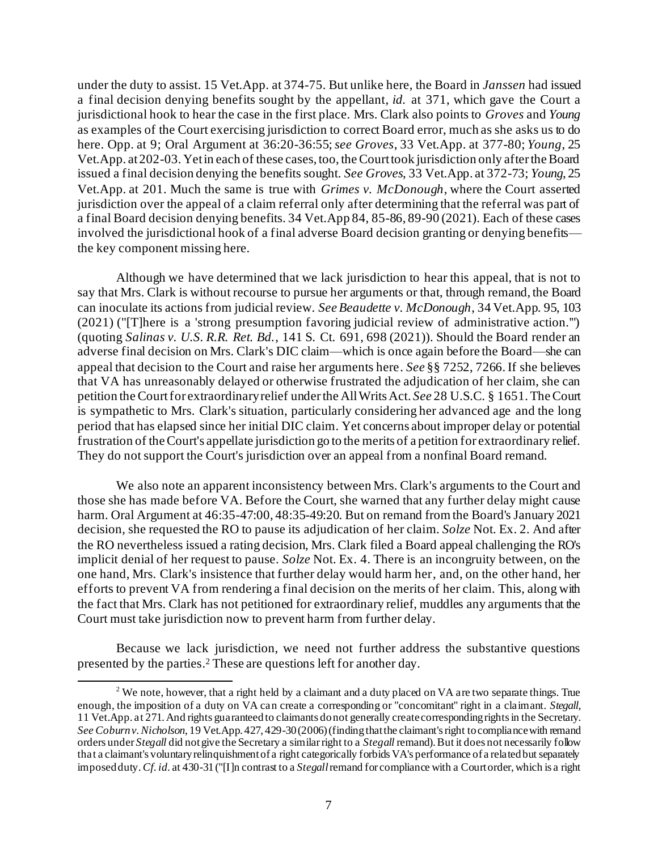under the duty to assist. 15 Vet.App. at 374-75. But unlike here, the Board in *Janssen* had issued a final decision denying benefits sought by the appellant, *id.* at 371, which gave the Court a jurisdictional hook to hear the case in the first place. Mrs. Clark also points to *Groves* and *Young*  as examples of the Court exercising jurisdiction to correct Board error, much as she asks us to do here. Opp. at 9; Oral Argument at 36:20-36:55; *see Groves*, 33 Vet.App. at 377-80; *Young*, 25 Vet.App. at 202-03. Yet in each of these cases, too, the Court took jurisdiction only after the Board issued a final decision denying the benefits sought. *See Groves*, 33 Vet.App. at 372-73; *Young*, 25 Vet.App. at 201. Much the same is true with *Grimes v. McDonough*, where the Court asserted jurisdiction over the appeal of a claim referral only after determining that the referral was part of a final Board decision denying benefits. 34 Vet.App 84, 85-86, 89-90 (2021). Each of these cases involved the jurisdictional hook of a final adverse Board decision granting or denying benefits the key component missing here.

Although we have determined that we lack jurisdiction to hear this appeal, that is not to say that Mrs. Clark is without recourse to pursue her arguments or that, through remand, the Board can inoculate its actions from judicial review. *See Beaudette v. McDonough*, 34 Vet.App. 95, 103 (2021) ("[T]here is a 'strong presumption favoring judicial review of administrative action.'") (quoting *Salinas v. U.S. R.R. Ret. Bd.*, 141 S. Ct. 691, 698 (2021)). Should the Board render an adverse final decision on Mrs. Clark's DIC claim—which is once again before the Board—she can appeal that decision to the Court and raise her arguments here. *See* §§ 7252, 7266. If she believes that VA has unreasonably delayed or otherwise frustrated the adjudication of her claim, she can petition the Courtfor extraordinary relief under the All Writs Act. *See* 28 U.S.C. § 1651. The Court is sympathetic to Mrs. Clark's situation, particularly considering her advanced age and the long period that has elapsed since her initial DIC claim. Yet concerns about improper delay or potential frustration of the Court's appellate jurisdiction go to the merits of a petition for extraordinary relief. They do not support the Court's jurisdiction over an appeal from a nonfinal Board remand.

We also note an apparent inconsistency between Mrs. Clark's arguments to the Court and those she has made before VA. Before the Court, she warned that any further delay might cause harm. Oral Argument at 46:35-47:00, 48:35-49:20. But on remand from the Board's January 2021 decision, she requested the RO to pause its adjudication of her claim. *Solze* Not. Ex. 2. And after the RO nevertheless issued a rating decision, Mrs. Clark filed a Board appeal challenging the RO's implicit denial of her request to pause. *Solze* Not. Ex. 4. There is an incongruity between, on the one hand, Mrs. Clark's insistence that further delay would harm her, and, on the other hand, her efforts to prevent VA from rendering a final decision on the merits of her claim. This, along with the fact that Mrs. Clark has not petitioned for extraordinary relief, muddles any arguments that the Court must take jurisdiction now to prevent harm from further delay.

Because we lack jurisdiction, we need not further address the substantive questions presented by the parties. <sup>2</sup> These are questions left for another day.

<sup>&</sup>lt;sup>2</sup> We note, however, that a right held by a claimant and a duty placed on VA are two separate things. True enough, the imposition of a duty on VA can create a corresponding or "concomitant" right in a claimant. *Stegall*, 11 Vet.App. at 271. And rights guaranteed to claimants do not generally create corresponding rights in the Secretary. *See Coburn v. Nicholson*, 19 Vet.App. 427, 429-30 (2006) (finding that the claimant's right tocompliance with remand orders under *Stegall* did not give the Secretary a similar right to a *Stegall* remand). But it does not necessarily follow that a claimant's voluntary relinquishment of a right categorically forbids VA's performance of a related but separately imposed duty. *Cf. id.* at 430-31 ("[I]n contrast to a *Stegall*remand for compliance with a Court order, which is a right